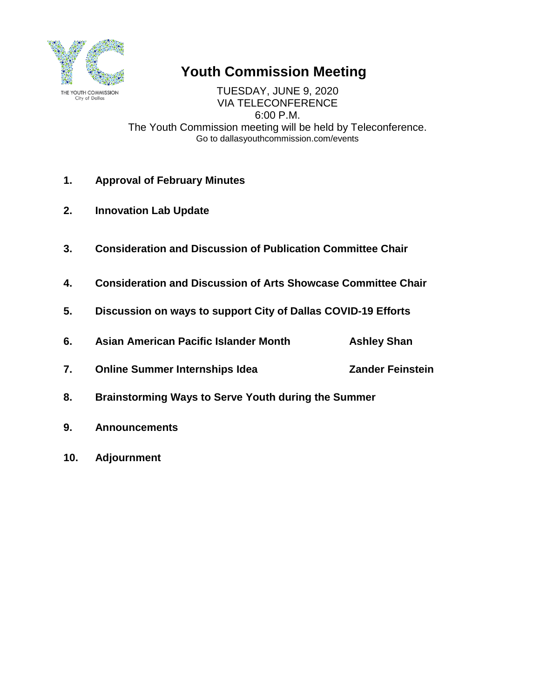

# **Youth Commission Meeting**

TUESDAY, JUNE 9, 2020 VIA TELECONFERENCE 6:00 P.M. The Youth Commission meeting will be held by Teleconference. Go to dallasyouthcommission.com/events

- **1. Approval of February Minutes**
- **2. Innovation Lab Update**
- **3. Consideration and Discussion of Publication Committee Chair**
- **4. Consideration and Discussion of Arts Showcase Committee Chair**
- **5. Discussion on ways to support City of Dallas COVID-19 Efforts**
- **6. Asian American Pacific Islander Month Ashley Shan**
- **7. Online Summer Internships Idea Zander Feinstein**
- **8. Brainstorming Ways to Serve Youth during the Summer**
- **9. Announcements**
- **10. Adjournment**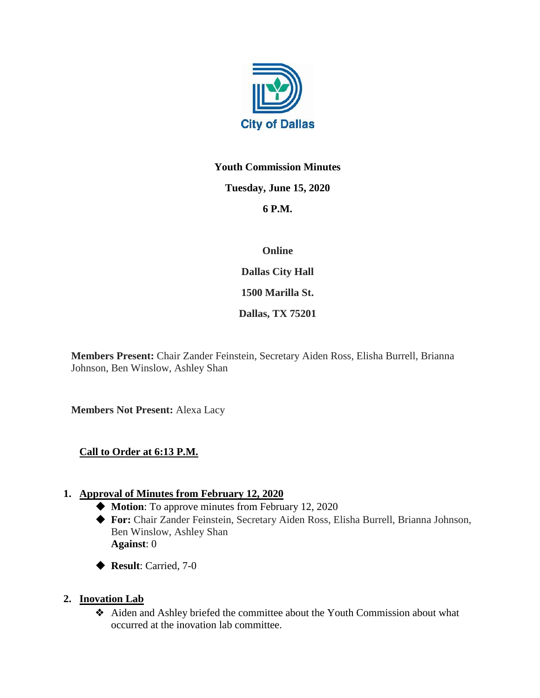

# **Youth Commission Minutes**

#### **Tuesday, June 15, 2020**

## **6 P.M.**

## **Online**

**Dallas City Hall**

**1500 Marilla St.** 

**Dallas, TX 75201**

**Members Present:** Chair Zander Feinstein, Secretary Aiden Ross, Elisha Burrell, Brianna Johnson, Ben Winslow, Ashley Shan

**Members Not Present:** Alexa Lacy

## **Call to Order at 6:13 P.M.**

## **1. Approval of Minutes from February 12, 2020**

- ◆ **Motion**: To approve minutes from February 12, 2020
- ◆ **For:** Chair Zander Feinstein, Secretary Aiden Ross, Elisha Burrell, Brianna Johnson, Ben Winslow, Ashley Shan **Against**: 0
- ◆ **Result**: Carried, 7-0

## **2. Inovation Lab**

❖ Aiden and Ashley briefed the committee about the Youth Commission about what occurred at the inovation lab committee.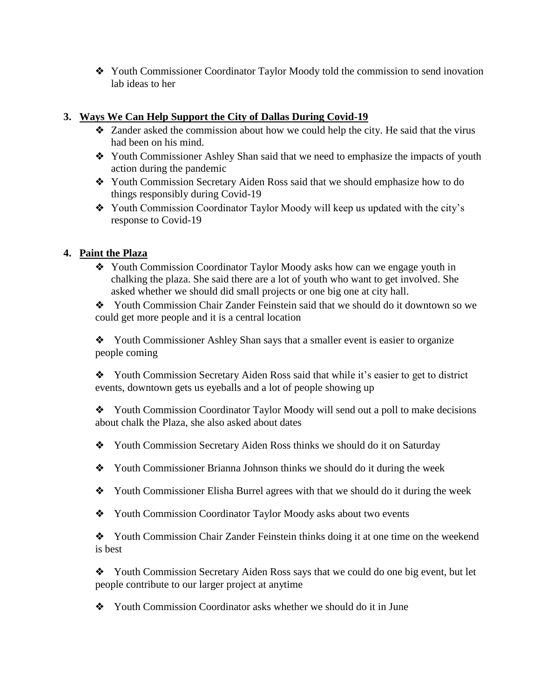❖ Youth Commissioner Coordinator Taylor Moody told the commission to send inovation lab ideas to her

## **3. Ways We Can Help Support the City of Dallas During Covid-19**

- ❖ Zander asked the commission about how we could help the city. He said that the virus had been on his mind.
- ❖ Youth Commissioner Ashley Shan said that we need to emphasize the impacts of youth action during the pandemic
- ❖ Youth Commission Secretary Aiden Ross said that we should emphasize how to do things responsibly during Covid-19
- ❖ Youth Commission Coordinator Taylor Moody will keep us updated with the city's response to Covid-19

## **4. Paint the Plaza**

❖ Youth Commission Coordinator Taylor Moody asks how can we engage youth in chalking the plaza. She said there are a lot of youth who want to get involved. She asked whether we should did small projects or one big one at city hall.

❖ Youth Commission Chair Zander Feinstein said that we should do it downtown so we could get more people and it is a central location

❖ Youth Commissioner Ashley Shan says that a smaller event is easier to organize people coming

❖ Youth Commission Secretary Aiden Ross said that while it's easier to get to district events, downtown gets us eyeballs and a lot of people showing up

❖ Youth Commission Coordinator Taylor Moody will send out a poll to make decisions about chalk the Plaza, she also asked about dates

- ❖ Youth Commission Secretary Aiden Ross thinks we should do it on Saturday
- ❖ Youth Commissioner Brianna Johnson thinks we should do it during the week
- ❖ Youth Commissioner Elisha Burrel agrees with that we should do it during the week
- ❖ Youth Commission Coordinator Taylor Moody asks about two events

❖ Youth Commission Chair Zander Feinstein thinks doing it at one time on the weekend is best

❖ Youth Commission Secretary Aiden Ross says that we could do one big event, but let people contribute to our larger project at anytime

❖ Youth Commission Coordinator asks whether we should do it in June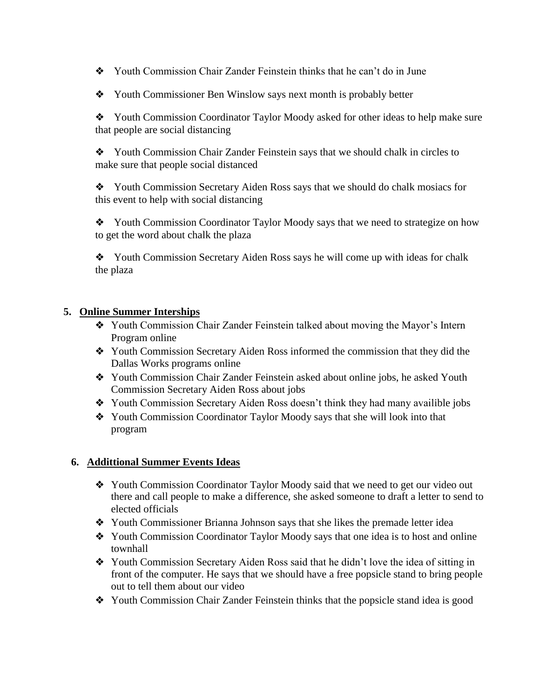❖ Youth Commission Chair Zander Feinstein thinks that he can't do in June

❖ Youth Commissioner Ben Winslow says next month is probably better

❖ Youth Commission Coordinator Taylor Moody asked for other ideas to help make sure that people are social distancing

❖ Youth Commission Chair Zander Feinstein says that we should chalk in circles to make sure that people social distanced

❖ Youth Commission Secretary Aiden Ross says that we should do chalk mosiacs for this event to help with social distancing

❖ Youth Commission Coordinator Taylor Moody says that we need to strategize on how to get the word about chalk the plaza

❖ Youth Commission Secretary Aiden Ross says he will come up with ideas for chalk the plaza

#### **5. Online Summer Interships**

- ❖ Youth Commission Chair Zander Feinstein talked about moving the Mayor's Intern Program online
- ❖ Youth Commission Secretary Aiden Ross informed the commission that they did the Dallas Works programs online
- ❖ Youth Commission Chair Zander Feinstein asked about online jobs, he asked Youth Commission Secretary Aiden Ross about jobs
- ❖ Youth Commission Secretary Aiden Ross doesn't think they had many availible jobs
- ❖ Youth Commission Coordinator Taylor Moody says that she will look into that program

#### **6. Addittional Summer Events Ideas**

- ❖ Youth Commission Coordinator Taylor Moody said that we need to get our video out there and call people to make a difference, she asked someone to draft a letter to send to elected officials
- ❖ Youth Commissioner Brianna Johnson says that she likes the premade letter idea
- ❖ Youth Commission Coordinator Taylor Moody says that one idea is to host and online townhall
- ❖ Youth Commission Secretary Aiden Ross said that he didn't love the idea of sitting in front of the computer. He says that we should have a free popsicle stand to bring people out to tell them about our video
- ❖ Youth Commission Chair Zander Feinstein thinks that the popsicle stand idea is good